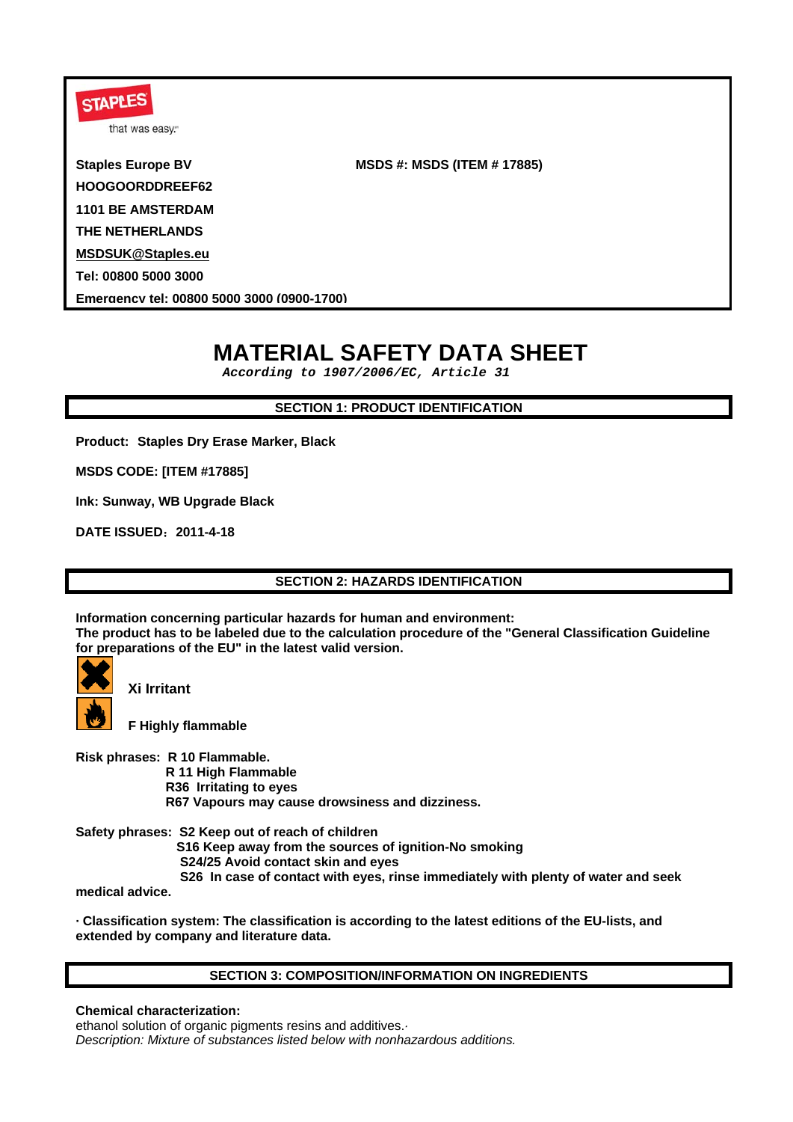| <b>STAPLES</b><br>that was easy.           |                                    |
|--------------------------------------------|------------------------------------|
| <b>Staples Europe BV</b>                   | <b>MSDS #: MSDS (ITEM # 17885)</b> |
| HOOGOORDDREEF62                            |                                    |
| <b>1101 BE AMSTERDAM</b>                   |                                    |
| THE NETHERLANDS                            |                                    |
| <b>MSDSUK@Staples.eu</b>                   |                                    |
| Tel: 00800 5000 3000                       |                                    |
| Emergency tel: 00800 5000 3000 (0900-1700) |                                    |
|                                            |                                    |

# **MATERIAL SAFETY DATA SHEET**

 *According to 1907/2006/EC, Article 31* 

# **SECTION 1: PRODUCT IDENTIFICATION**

**Product: Staples Dry Erase Marker, Black** 

**MSDS CODE: [ITEM #17885]** 

**Ink: Sunway, WB Upgrade Black**

**DATE ISSUED**:**2011-4-18** 

**SECTION 2: HAZARDS IDENTIFICATION**

**Information concerning particular hazards for human and environment: The product has to be labeled due to the calculation procedure of the "General Classification Guideline for preparations of the EU" in the latest valid version.** 



**Xi Irritant**

**F Highly flammable** 

**Risk phrases: R 10 Flammable.** 

 **R 11 High Flammable** 

 **R36 Irritating to eyes** 

 **R67 Vapours may cause drowsiness and dizziness.** 

**Safety phrases: S2 Keep out of reach of children S16 Keep away from the sources of ignition-No smoking S24/25 Avoid contact skin and eyes S26 In case of contact with eyes, rinse immediately with plenty of water and seek** 

**medical advice.** 

**· Classification system: The classification is according to the latest editions of the EU-lists, and extended by company and literature data.** 

# **SECTION 3: COMPOSITION/INFORMATION ON INGREDIENTS**

**Chemical characterization:**

ethanol solution of organic pigments resins and additives.*· Description: Mixture of substances listed below with nonhazardous additions.*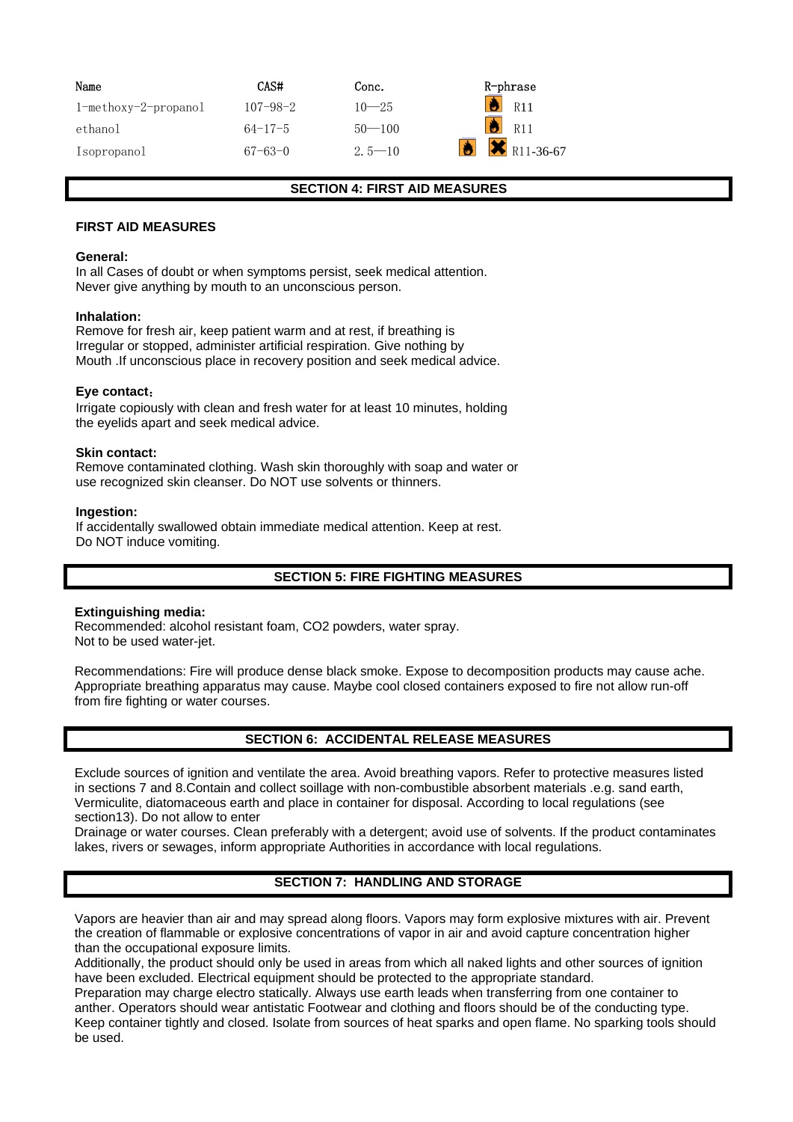| Name                    | CAS#           | Conc.      | R-phrase               |
|-------------------------|----------------|------------|------------------------|
| $1$ -methoxy-2-propanol | $107 - 98 - 2$ | $10 - 25$  | R11                    |
| ethanol                 | $64 - 17 - 5$  | $50 - 100$ | R <sub>11</sub>        |
| Isopropanol             | $67 - 63 - 0$  | $2.5 - 10$ | $\mathsf{X}$ R11-36-67 |

#### **SECTION 4: FIRST AID MEASURES**

#### **FIRST AID MEASURES**

#### **General:**

In all Cases of doubt or when symptoms persist, seek medical attention. Never give anything by mouth to an unconscious person.

#### **Inhalation:**

Remove for fresh air, keep patient warm and at rest, if breathing is Irregular or stopped, administer artificial respiration. Give nothing by Mouth .If unconscious place in recovery position and seek medical advice.

#### **Eye contact**:

Irrigate copiously with clean and fresh water for at least 10 minutes, holding the eyelids apart and seek medical advice.

#### **Skin contact:**

Remove contaminated clothing. Wash skin thoroughly with soap and water or use recognized skin cleanser. Do NOT use solvents or thinners.

#### **Ingestion:**

If accidentally swallowed obtain immediate medical attention. Keep at rest. Do NOT induce vomiting.

# **SECTION 5: FIRE FIGHTING MEASURES**

#### **Extinguishing media:**

Recommended: alcohol resistant foam, CO2 powders, water spray. Not to be used water-jet.

Recommendations: Fire will produce dense black smoke. Expose to decomposition products may cause ache. Appropriate breathing apparatus may cause. Maybe cool closed containers exposed to fire not allow run-off from fire fighting or water courses.

# **SECTION 6: ACCIDENTAL RELEASE MEASURES**

Exclude sources of ignition and ventilate the area. Avoid breathing vapors. Refer to protective measures listed in sections 7 and 8.Contain and collect soillage with non-combustible absorbent materials .e.g. sand earth, Vermiculite, diatomaceous earth and place in container for disposal. According to local regulations (see section13). Do not allow to enter

Drainage or water courses. Clean preferably with a detergent; avoid use of solvents. If the product contaminates lakes, rivers or sewages, inform appropriate Authorities in accordance with local regulations.

# **SECTION 7: HANDLING AND STORAGE**

Vapors are heavier than air and may spread along floors. Vapors may form explosive mixtures with air. Prevent the creation of flammable or explosive concentrations of vapor in air and avoid capture concentration higher than the occupational exposure limits.

Additionally, the product should only be used in areas from which all naked lights and other sources of ignition have been excluded. Electrical equipment should be protected to the appropriate standard.

Preparation may charge electro statically. Always use earth leads when transferring from one container to anther. Operators should wear antistatic Footwear and clothing and floors should be of the conducting type. Keep container tightly and closed. Isolate from sources of heat sparks and open flame. No sparking tools should be used.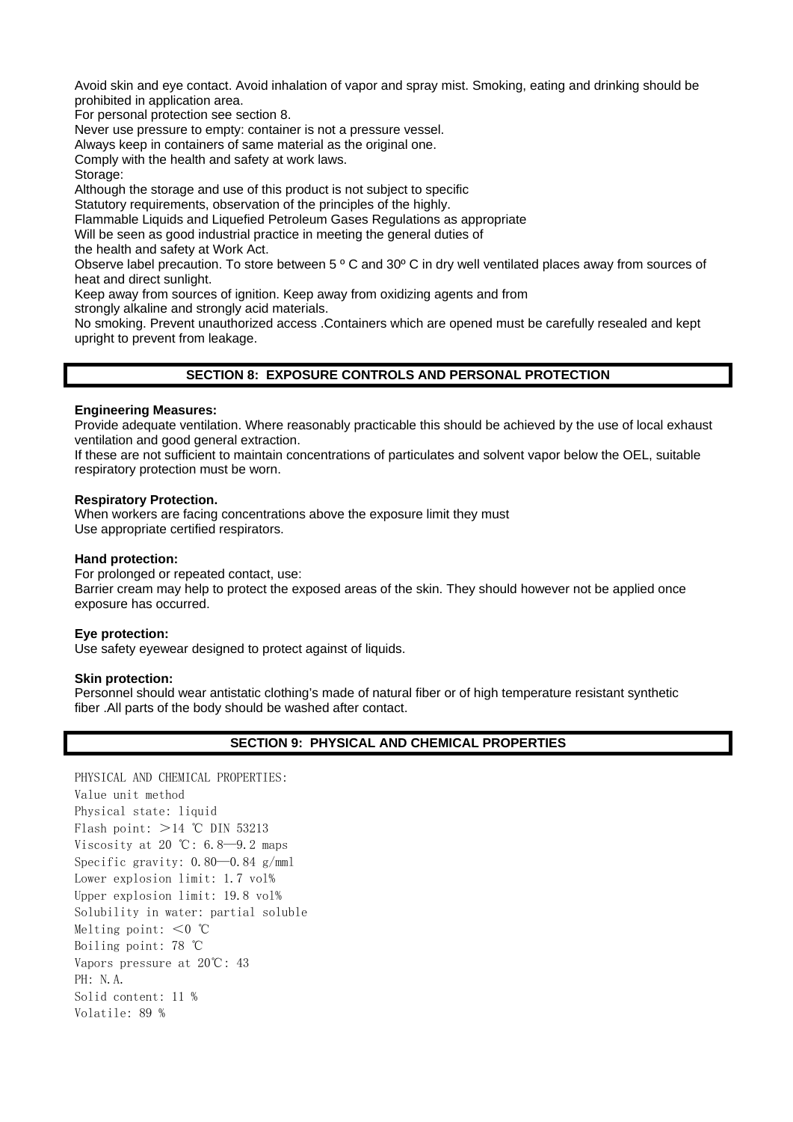Avoid skin and eye contact. Avoid inhalation of vapor and spray mist. Smoking, eating and drinking should be prohibited in application area.

For personal protection see section 8.

Never use pressure to empty: container is not a pressure vessel.

Always keep in containers of same material as the original one.

Comply with the health and safety at work laws.

Storage:

Although the storage and use of this product is not subject to specific

Statutory requirements, observation of the principles of the highly.

Flammable Liquids and Liquefied Petroleum Gases Regulations as appropriate

Will be seen as good industrial practice in meeting the general duties of

the health and safety at Work Act.

Observe label precaution. To store between 5 º C and 30º C in dry well ventilated places away from sources of heat and direct sunlight.

Keep away from sources of ignition. Keep away from oxidizing agents and from

strongly alkaline and strongly acid materials.

No smoking. Prevent unauthorized access .Containers which are opened must be carefully resealed and kept upright to prevent from leakage.

# **SECTION 8: EXPOSURE CONTROLS AND PERSONAL PROTECTION**

#### **Engineering Measures:**

Provide adequate ventilation. Where reasonably practicable this should be achieved by the use of local exhaust ventilation and good general extraction.

If these are not sufficient to maintain concentrations of particulates and solvent vapor below the OEL, suitable respiratory protection must be worn.

#### **Respiratory Protection.**

When workers are facing concentrations above the exposure limit they must Use appropriate certified respirators.

#### **Hand protection:**

For prolonged or repeated contact, use:

Barrier cream may help to protect the exposed areas of the skin. They should however not be applied once exposure has occurred.

#### **Eye protection:**

Use safety eyewear designed to protect against of liquids.

#### **Skin protection:**

Personnel should wear antistatic clothing's made of natural fiber or of high temperature resistant synthetic fiber .All parts of the body should be washed after contact.

#### **SECTION 9: PHYSICAL AND CHEMICAL PROPERTIES**

PHYSICAL AND CHEMICAL PROPERTIES: Value unit method Physical state: liquid Flash point:  $>14$  °C DIN 53213 Viscosity at 20 °C:  $6.8 - 9.2$  maps Specific gravity: 0.80—0.84 g/mml Lower explosion limit: 1.7 vol% Upper explosion limit: 19.8 vol% Solubility in water: partial soluble Melting point:  $< 0$  °C Boiling point: 78 ℃ Vapors pressure at 20℃: 43 PH: N.A. Solid content: 11 % Volatile: 89 %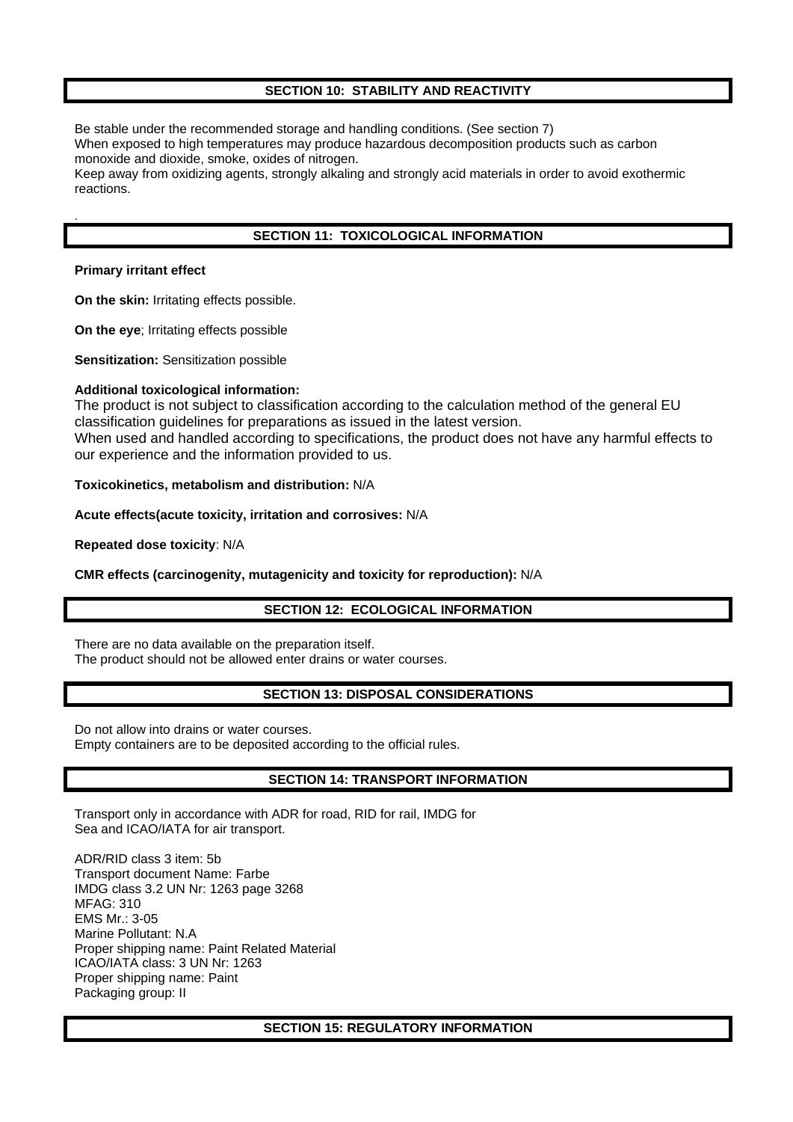# **SECTION 10: STABILITY AND REACTIVITY**

Be stable under the recommended storage and handling conditions. (See section 7)

When exposed to high temperatures may produce hazardous decomposition products such as carbon monoxide and dioxide, smoke, oxides of nitrogen.

Keep away from oxidizing agents, strongly alkaling and strongly acid materials in order to avoid exothermic reactions.

# **SECTION 11: TOXICOLOGICAL INFORMATION**

#### **Primary irritant effect**

.

**On the skin:** Irritating effects possible.

**On the eye**; Irritating effects possible

**Sensitization:** Sensitization possible

### **Additional toxicological information:**

The product is not subject to classification according to the calculation method of the general EU classification guidelines for preparations as issued in the latest version. When used and handled according to specifications, the product does not have any harmful effects to our experience and the information provided to us.

**Toxicokinetics, metabolism and distribution:** N/A

**Acute effects(acute toxicity, irritation and corrosives:** N/A

**Repeated dose toxicity**: N/A

# **CMR effects (carcinogenity, mutagenicity and toxicity for reproduction):** N/A

# **SECTION 12: ECOLOGICAL INFORMATION**

There are no data available on the preparation itself. The product should not be allowed enter drains or water courses.

# **SECTION 13: DISPOSAL CONSIDERATIONS**

Do not allow into drains or water courses. Empty containers are to be deposited according to the official rules.

# **SECTION 14: TRANSPORT INFORMATION**

Transport only in accordance with ADR for road, RID for rail, IMDG for Sea and ICAO/IATA for air transport.

ADR/RID class 3 item: 5b Transport document Name: Farbe IMDG class 3.2 UN Nr: 1263 page 3268 MFAG: 310 EMS Mr.: 3-05 Marine Pollutant: N.A Proper shipping name: Paint Related Material ICAO/IATA class: 3 UN Nr: 1263 Proper shipping name: Paint Packaging group: II

#### **SECTION 15: REGULATORY INFORMATION**